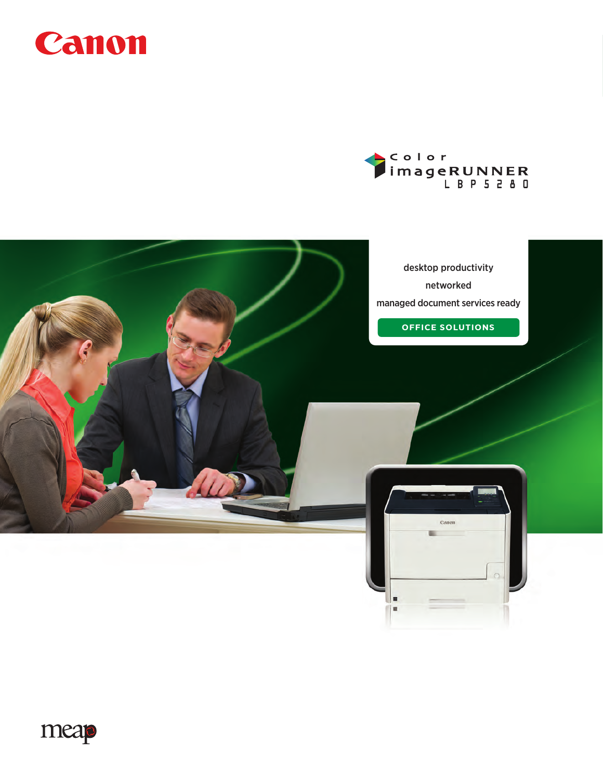





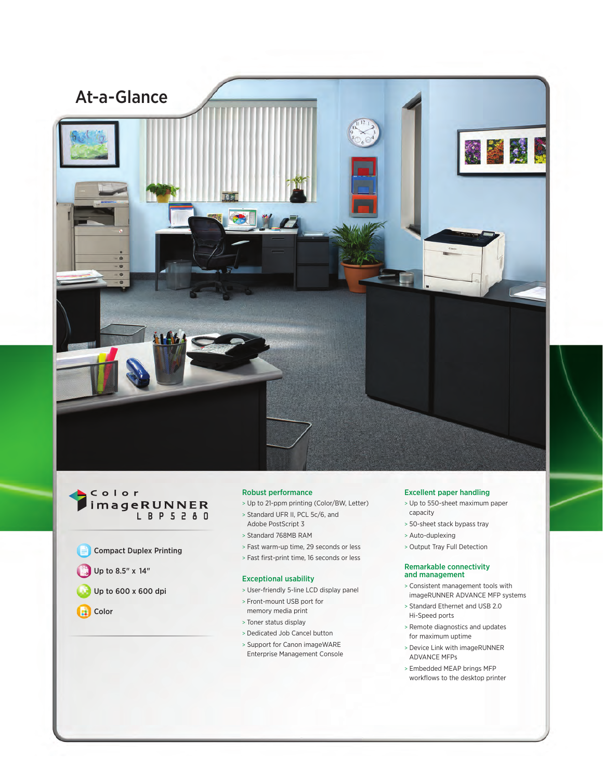

## Color imageRUNNER L B P 5 2 8 0

- Compact Duplex Printing
- Up to 8.5" x 14"
- Up to 600 x 600 dpi
- **Color**

## Robust performance

- > Up to 21-ppm printing (Color/BW, Letter)
- > Standard UFR II, PCL 5c/6, and
- Adobe PostScript 3
- > Standard 768MB RAM
- > Fast warm-up time, 29 seconds or less
- > Fast first-print time, 16 seconds or less

#### Exceptional usability

- > User-friendly 5-line LCD display panel
- > Front-mount USB port for memory media print
- > Toner status display
- > Dedicated Job Cancel button
- > Support for Canon imageWARE Enterprise Management Console

#### Excellent paper handling

- > Up to 550-sheet maximum paper capacity
- > 50-sheet stack bypass tray
- > Auto-duplexing
- > Output Tray Full Detection

#### Remarkable connectivity and management

- > Consistent management tools with imageRUNNER ADVANCE MFP systems
- > Standard Ethernet and USB 2.0 Hi-Speed ports
- > Remote diagnostics and updates for maximum uptime
- > Device Link with imageRUNNER ADVANCE MFPs
- > Embedded MEAP brings MFP workflows to the desktop printer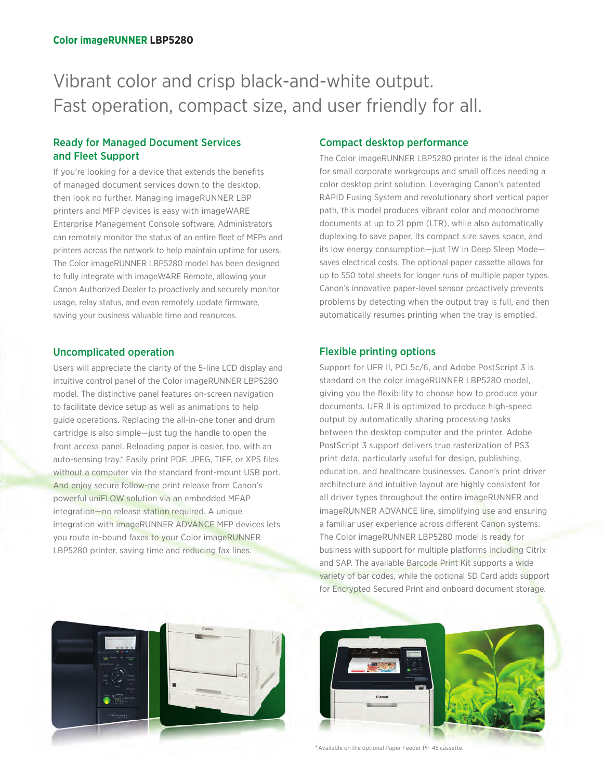# Vibrant color and crisp black-and-white output. Fast operation, compact size, and user friendly for all.

# Ready for Managed Document Services and Fleet Support

If you're looking for a device that extends the benefits of managed document services down to the desktop, then look no further. Managing imageRUNNER LBP printers and MFP devices is easy with imageWARE Enterprise Management Console software. Administrators can remotely monitor the status of an entire fleet of MFPs and printers across the network to help maintain uptime for users. The Color imageRUNNER LBP5280 model has been designed to fully integrate with imageWARE Remote, allowing your Canon Authorized Dealer to proactively and securely monitor usage, relay status, and even remotely update firmware, saving your business valuable time and resources.

# Uncomplicated operation

Users will appreciate the clarity of the 5-line LCD display and intuitive control panel of the Color imageRUNNER LBP5280 model. The distinctive panel features on-screen navigation to facilitate device setup as well as animations to help guide operations. Replacing the all-in-one toner and drum cartridge is also simple—just tug the handle to open the front access panel. Reloading paper is easier, too, with an auto-sensing tray.\* Easily print PDF, JPEG, TIFF, or XPS files without a computer via the standard front-mount USB port. And enjoy secure follow-me print release from Canon's powerful uniFLOW solution via an embedded MEAP integration—no release station required. A unique integration with imageRUNNER ADVANCE MFP devices lets you route in-bound faxes to your Color imageRUNNER LBP5280 printer, saving time and reducing fax lines.



# Compact desktop performance

The Color imageRUNNER LBP5280 printer is the ideal choice for small corporate workgroups and small offices needing a color desktop print solution. Leveraging Canon's patented RAPID Fusing System and revolutionary short vertical paper path, this model produces vibrant color and monochrome documents at up to 21 ppm (LTR), while also automatically duplexing to save paper. Its compact size saves space, and its low energy consumption—just 1W in Deep Sleep Mode saves electrical costs. The optional paper cassette allows for up to 550 total sheets for longer runs of multiple paper types. Canon's innovative paper-level sensor proactively prevents problems by detecting when the output tray is full, and then automatically resumes printing when the tray is emptied.

# Flexible printing options

Support for UFR II, PCL5c/6, and Adobe PostScript 3 is standard on the color imageRUNNER LBP5280 model, giving you the flexibility to choose how to produce your documents. UFR II is optimized to produce high-speed output by automatically sharing processing tasks between the desktop computer and the printer. Adobe PostScript 3 support delivers true rasterization of PS3 print data, particularly useful for design, publishing, education, and healthcare businesses. Canon's print driver architecture and intuitive layout are highly consistent for all driver types throughout the entire imageRUNNER and imageRUNNER ADVANCE line, simplifying use and ensuring a familiar user experience across different Canon systems. The Color imageRUNNER LBP5280 model is ready for business with support for multiple platforms including Citrix and SAP. The available Barcode Print Kit supports a wide variety of bar codes, while the optional SD Card adds support for Encrypted Secured Print and onboard document storage.



\* Available on the optional Paper Feeder PF-45 cassette.